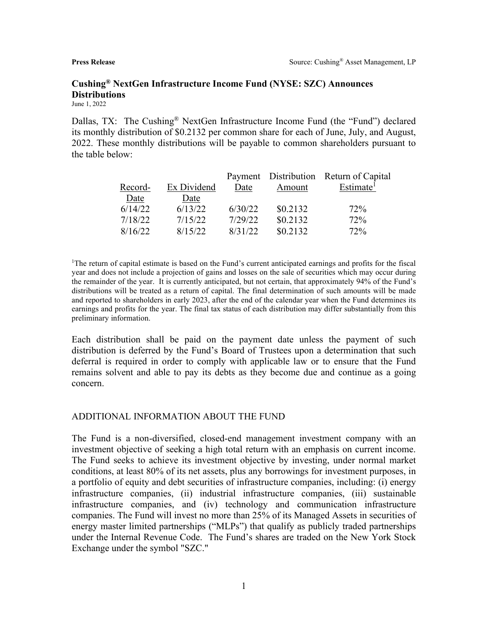# **Cushing® NextGen Infrastructure Income Fund (NYSE: SZC) Announces Distributions**

June 1, 2022

Dallas, TX: The Cushing<sup>®</sup> NextGen Infrastructure Income Fund (the "Fund") declared its monthly distribution of \$0.2132 per common share for each of June, July, and August, 2022. These monthly distributions will be payable to common shareholders pursuant to the table below:

|         |             |         |          | Payment Distribution Return of Capital |
|---------|-------------|---------|----------|----------------------------------------|
| Record- | Ex Dividend | Date    | Amount   | Estimate <sup>1</sup>                  |
| Date    | Date        |         |          |                                        |
| 6/14/22 | 6/13/22     | 6/30/22 | \$0.2132 | 72%                                    |
| 7/18/22 | 7/15/22     | 7/29/22 | \$0.2132 | 72%                                    |
| 8/16/22 | 8/15/22     | 8/31/22 | \$0.2132 | 72%                                    |

1 The return of capital estimate is based on the Fund's current anticipated earnings and profits for the fiscal year and does not include a projection of gains and losses on the sale of securities which may occur during the remainder of the year. It is currently anticipated, but not certain, that approximately 94% of the Fund's distributions will be treated as a return of capital. The final determination of such amounts will be made and reported to shareholders in early 2023, after the end of the calendar year when the Fund determines its earnings and profits for the year. The final tax status of each distribution may differ substantially from this preliminary information.

Each distribution shall be paid on the payment date unless the payment of such distribution is deferred by the Fund's Board of Trustees upon a determination that such deferral is required in order to comply with applicable law or to ensure that the Fund remains solvent and able to pay its debts as they become due and continue as a going concern.

### ADDITIONAL INFORMATION ABOUT THE FUND

The Fund is a non-diversified, closed-end management investment company with an investment objective of seeking a high total return with an emphasis on current income. The Fund seeks to achieve its investment objective by investing, under normal market conditions, at least 80% of its net assets, plus any borrowings for investment purposes, in a portfolio of equity and debt securities of infrastructure companies, including: (i) energy infrastructure companies, (ii) industrial infrastructure companies, (iii) sustainable infrastructure companies, and (iv) technology and communication infrastructure companies. The Fund will invest no more than 25% of its Managed Assets in securities of energy master limited partnerships ("MLPs") that qualify as publicly traded partnerships under the Internal Revenue Code. The Fund's shares are traded on the New York Stock Exchange under the symbol "SZC."